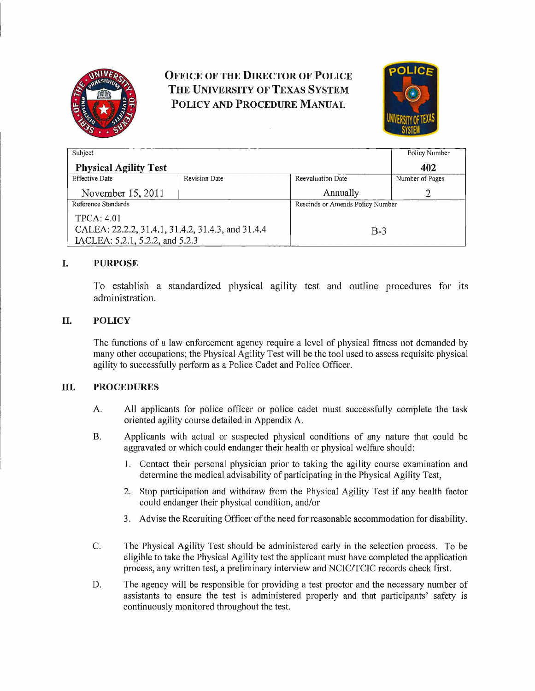

# *<u>OFFICE OF THE DIRECTOR OF POLICE</u>* **THE UNIVERSITY OF TEXAS SYSTEM<br>POLICY AND PROCEDURE MANUAL**



| Subject                                           |                      |                                  | Policy Number   |
|---------------------------------------------------|----------------------|----------------------------------|-----------------|
| <b>Physical Agility Test</b>                      |                      |                                  | 402             |
| <b>Effective Date</b>                             | <b>Revision Date</b> | Reevaluation Date                | Number of Pages |
| November 15, 2011                                 |                      | Annually                         | ∍               |
| Reference Standards                               |                      | Rescinds or Amends Policy Number |                 |
| <b>TPCA: 4.01</b>                                 |                      |                                  |                 |
| CALEA: 22.2.2, 31.4.1, 31.4.2, 31.4.3, and 31.4.4 |                      | $B-3$                            |                 |
| IACLEA: 5.2.1, 5.2.2, and 5.2.3                   |                      |                                  |                 |

## **I. PURPOSE**

To establish a standardized physical agility test and outline procedures for its administration.

## **II. POLICY**

The functions of a law enforcement agency require a level of physical fitness not demanded by many other occupations; the Physical Agility Test will be the tool used to assess requisite physical agility to successfully perform as a Police Cadet and Police Officer.

#### **Ill. PROCEDURES**

- A. All applicants for police officer or police cadet must successfully complete the task oriented agility course detailed in Appendix A.
- B. Applicants with actual or suspected physical conditions of any nature that could be aggravated or which could endanger their health or physical welfare should:
	- 1. Contact their personal physician prior to taking the agility course examination and determine the medical advisability of participating in the Physical Agility Test,
	- 2. Stop participation and withdraw from the Physical Agility Test if any health factor could endanger their physical condition, and/or
	- 3. Advise the Recruiting Officer ofthe need for reasonable accommodation for disability.
- C. The Physical Agility Test should be administered early in the selection process. To be eligible to take the Physical Agility test the applicant must have completed the application process, any written test, a preliminary interview and NCIC/TCIC records check first.
- D. The agency will be responsible for providing a test proctor and the necessary number of assistants to ensure the test is administered properly and that participants' safety is continuously monitored throughout the test.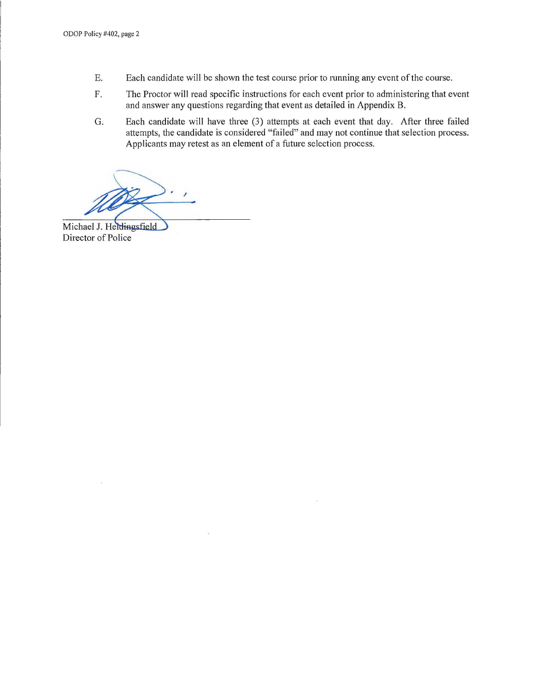- E. Each candidate will be shown the test course prior to running any event of the course.
- F. The Proctor will read specific instructions for each event prior to administering that event and answer any questions regarding that event as detailed in Appendix B.
- G. Each candidate will have three (3) attempts at each event that day. After three failed attempts, the candidate is considered "failed" and may not continue that selection process. Applicants may retest as an element of a future selection process.

'

Michael J. Heidingsfield Director of Police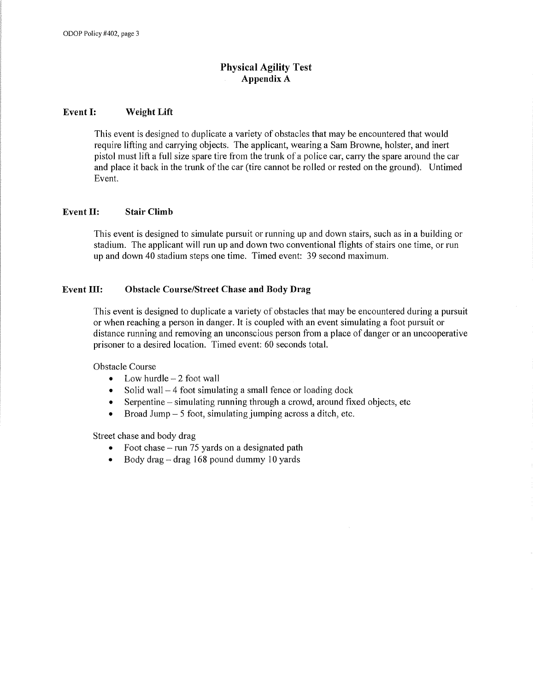# **Physical Agility Test Appendix A**

#### **Event I: Weight Lift**

This event is designed to duplicate a variety of obstacles that may be encountered that would require lifting and carrying objects. The applicant, wearing a Sam Browne, holster, and inert pistol must lift a full size spare tire from the trunk of a police car, cany the spare around the car and place it back in the trunk of the car (tire cannot be rolled or rested on the ground). Untimed Event.

### **Event II: Stair Climb**

This event is designed to simulate pursuit or running up and down stairs, such as in a building or stadium. The applicant will run up and down two conventional flights of stairs one time, or run up and down 40 stadium steps one time. Timed event: 39 second maximum.

## **Event ID: Obstacle Course/Street Chase and Body Drag**

This event is designed to duplicate a variety of obstacles that may be encountered during a pursuit or when reaching a person in danger. It is coupled with an event simulating a foot pursuit or distance running and removing an unconscious person from a place of danger or an uncooperative prisoner to a desired location. Timed event: 60 seconds total.

Obstacle Course

- Low hurdle  $-2$  foot wall
- Solid wall  $-4$  foot simulating a small fence or loading dock
- Serpentine  $-$  simulating running through a crowd, around fixed objects, etc
- Broad Jump  $-$  5 foot, simulating jumping across a ditch, etc.

Street chase and body drag

- Foot chase run 75 yards on a designated path
- Body drag  $-$  drag 168 pound dummy 10 yards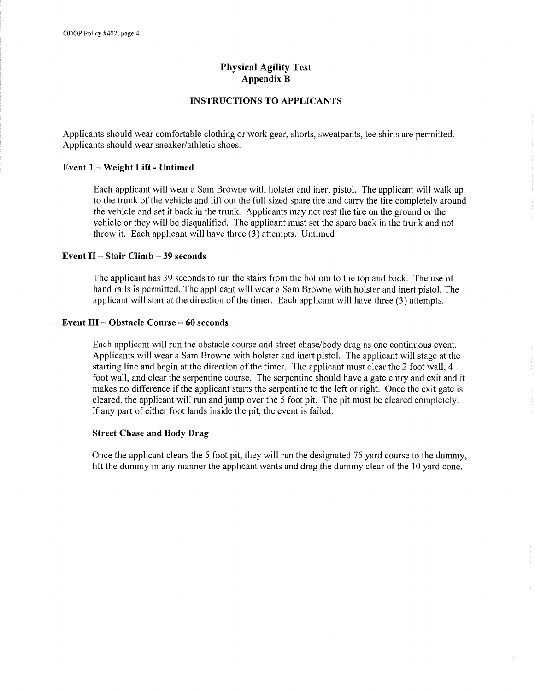## **Physical Agility Test AppendixB**

### **INSTRUCTIONS TO APPLICANTS**

Applicants should wear comfortable clothing or work gear, shorts, sweatpants, tee shirts are permitted. Applicants should wear sneaker/athletic shoes.

#### **Event 1-Weight Lift- Untimed**

Each applicant will wear a Sam Browne with holster and inert pistol. The applicant will walk up to the trunk of the vehicle and lift out the full sized spare tire and carry the tire completely around the vehicle and set it back in the trunk. Applicants may not rest the tire on the ground or the vehicle or they will be disqualified. The applicant must set the spare back in the trunk and not throw it. Each applicant will have three (3) attempts. Untimed

#### **Event** II - **Stair Climb - 39 seconds**

The applicant has 39 seconds to run the stairs from the bottom to the top and back. The use of hand rails is permitted. The applicant will wear a Sam Browne with holster and inert pistol. The applicant will start at the direction of the timer. Each applicant will have three (3) attempts.

#### **Event III - Obstacle Course - 60 seconds**

Each applicant will run the obstacle course and street chase/body drag as one continuous event. Applicants will wear a Sam Browne with holster and inert pistol. The applicant will stage at the starting line and begin at the direction of the timer. The applicant must clear the 2 foot wall, 4 foot wall, and clear the serpentine course. The serpentine should have a gate entry and exit and it makes no difference if the applicant starts the serpentine to the left or right. Once the exit gate is cleared, the applicant will run and jump over the 5 foot pit. The pit must be cleared completely. If any part of either foot lands inside the pit, the event is failed.

#### **Street Chase and Body Drag**

Once the applicant clears the 5 foot pit, they will run the designated 75 yard course to the dummy, lift the dummy in any manner the applicant wants and drag the dummy clear of the 10 yard cone.